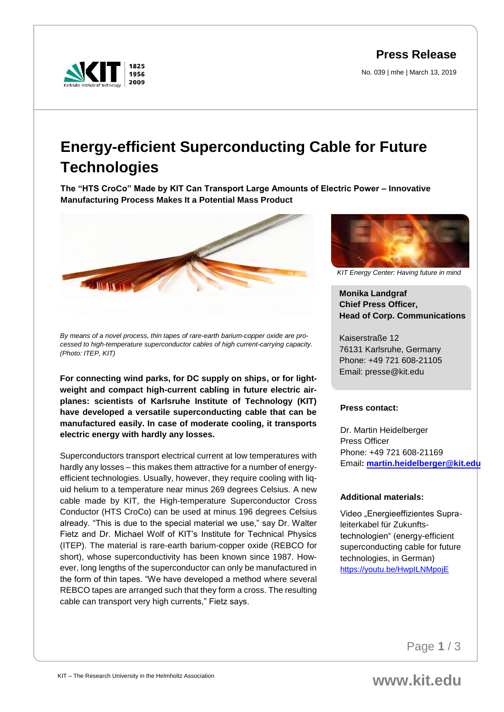**Press Release**

No. 039 | mhe | March 13, 2019



# **Energy-efficient Superconducting Cable for Future Technologies**

**The "HTS CroCo" Made by KIT Can Transport Large Amounts of Electric Power – Innovative Manufacturing Process Makes It a Potential Mass Product** 



*By means of a novel process, thin tapes of rare-earth barium-copper oxide are processed to high-temperature superconductor cables of high current-carrying capacity. (Photo: ITEP, KIT)*

**For connecting wind parks, for DC supply on ships, or for lightweight and compact high-current cabling in future electric airplanes: scientists of Karlsruhe Institute of Technology (KIT) have developed a versatile superconducting cable that can be manufactured easily. In case of moderate cooling, it transports electric energy with hardly any losses.** 

Superconductors transport electrical current at low temperatures with hardly any losses – this makes them attractive for a number of energyefficient technologies. Usually, however, they require cooling with liquid helium to a temperature near minus 269 degrees Celsius. A new cable made by KIT, the High-temperature Superconductor Cross Conductor (HTS CroCo) can be used at minus 196 degrees Celsius already. "This is due to the special material we use," say Dr. Walter Fietz and Dr. Michael Wolf of KIT's Institute for Technical Physics (ITEP). The material is rare-earth barium-copper oxide (REBCO for short), whose superconductivity has been known since 1987. However, long lengths of the superconductor can only be manufactured in the form of thin tapes. "We have developed a method where several REBCO tapes are arranged such that they form a cross. The resulting cable can transport very high currents," Fietz says.



*KIT Energy Center: Having future in mind*

## **Monika Landgraf Chief Press Officer, Head of Corp. Communications**

Kaiserstraße 12 76131 Karlsruhe, Germany Phone: +49 721 608-21105 Email: presse@kit.edu

### **Press contact:**

Dr. Martin Heidelberger Press Officer Phone: +49 721 608-21169 Email**: [martin.heidelberger@kit.edu](mailto:martin.heidelberger@kit.edu)**

### **Additional materials:**

Video "Energieeffizientes Supraleiterkabel für Zukunftstechnologien" (energy-efficient superconducting cable for future technologies, in German) <https://youtu.be/HwpILNMpojE>

Page **1** / 3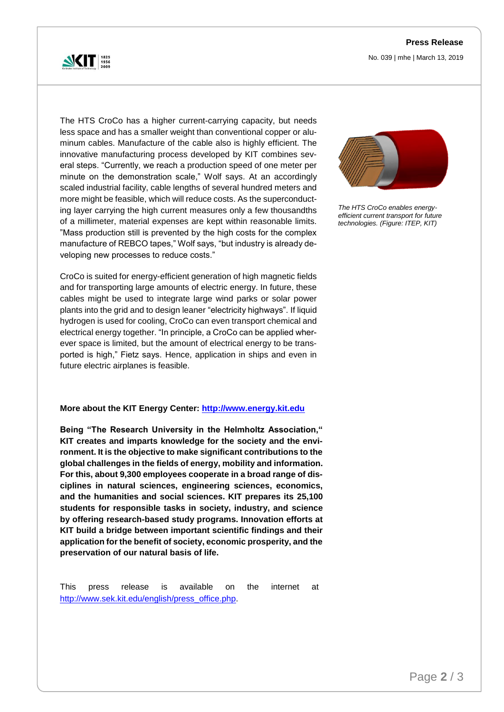No. 039 | mhe | March 13, 2019



The HTS CroCo has a higher current-carrying capacity, but needs less space and has a smaller weight than conventional copper or aluminum cables. Manufacture of the cable also is highly efficient. The innovative manufacturing process developed by KIT combines several steps. "Currently, we reach a production speed of one meter per minute on the demonstration scale," Wolf says. At an accordingly scaled industrial facility, cable lengths of several hundred meters and more might be feasible, which will reduce costs. As the superconducting layer carrying the high current measures only a few thousandths of a millimeter, material expenses are kept within reasonable limits. "Mass production still is prevented by the high costs for the complex manufacture of REBCO tapes," Wolf says, "but industry is already developing new processes to reduce costs."

CroCo is suited for energy-efficient generation of high magnetic fields and for transporting large amounts of electric energy. In future, these cables might be used to integrate large wind parks or solar power plants into the grid and to design leaner "electricity highways". If liquid hydrogen is used for cooling, CroCo can even transport chemical and electrical energy together. "In principle, a CroCo can be applied wherever space is limited, but the amount of electrical energy to be transported is high," Fietz says. Hence, application in ships and even in future electric airplanes is feasible.

### **More about the KIT Energy Center: [http://www.energy.kit.edu](http://www.energy.kit.edu/)**

**Being "The Research University in the Helmholtz Association," KIT creates and imparts knowledge for the society and the environment. It is the objective to make significant contributions to the global challenges in the fields of energy, mobility and information. For this, about 9,300 employees cooperate in a broad range of disciplines in natural sciences, engineering sciences, economics, and the humanities and social sciences. KIT prepares its 25,100 students for responsible tasks in society, industry, and science by offering research-based study programs. Innovation efforts at KIT build a bridge between important scientific findings and their application for the benefit of society, economic prosperity, and the preservation of our natural basis of life.**

This press release is available on the internet at [http://www.sek.kit.edu/english/press\\_office.php.](http://www.sek.kit.edu/english/press_office.php)



*The HTS CroCo enables energyefficient current transport for future technologies. (Figure: ITEP, KIT)*